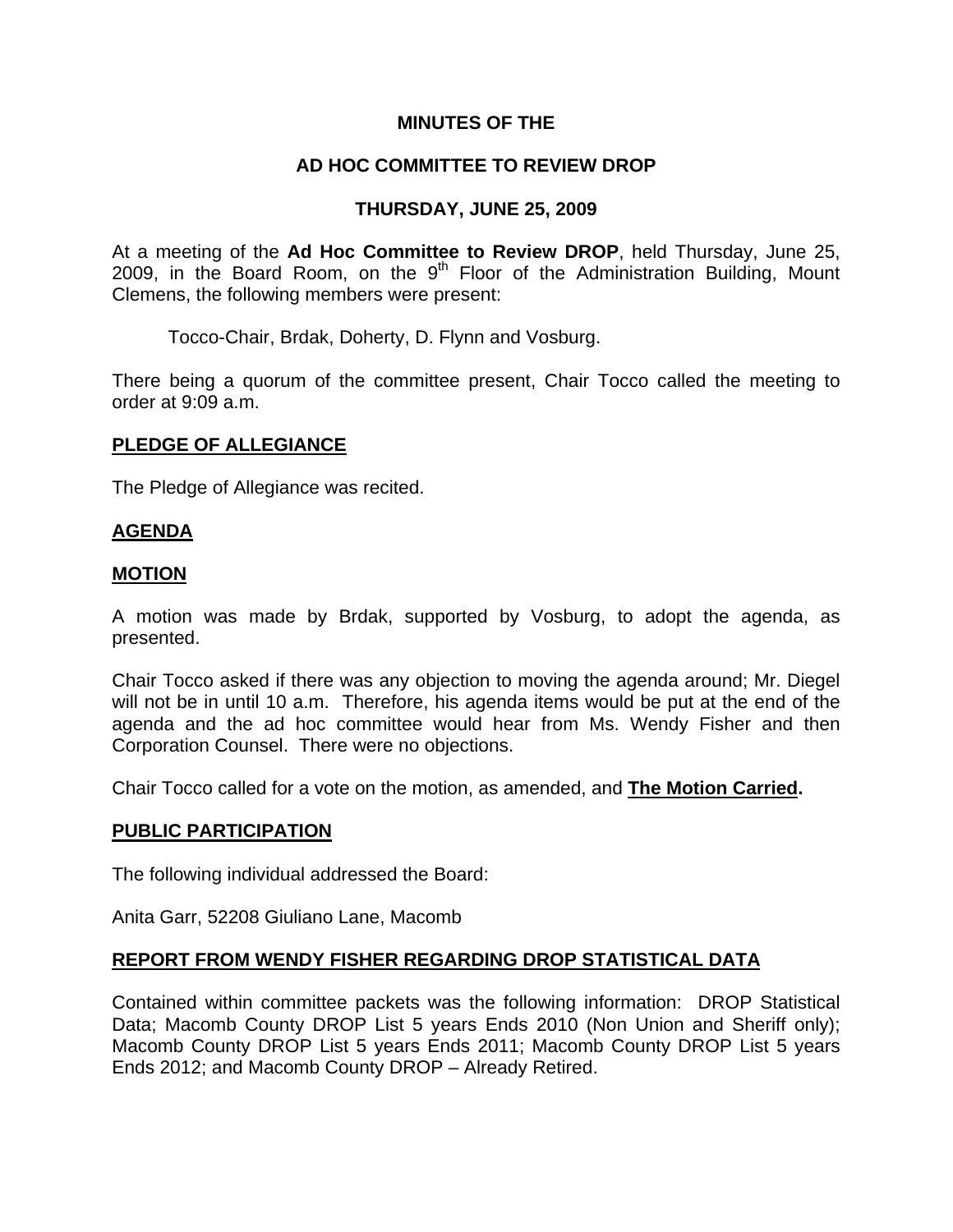## **MINUTES OF THE**

## **AD HOC COMMITTEE TO REVIEW DROP**

## **THURSDAY, JUNE 25, 2009**

At a meeting of the **Ad Hoc Committee to Review DROP**, held Thursday, June 25, 2009, in the Board Room, on the  $9<sup>th</sup>$  Floor of the Administration Building, Mount Clemens, the following members were present:

Tocco-Chair, Brdak, Doherty, D. Flynn and Vosburg.

There being a quorum of the committee present, Chair Tocco called the meeting to order at 9:09 a.m.

#### **PLEDGE OF ALLEGIANCE**

The Pledge of Allegiance was recited.

## **AGENDA**

#### **MOTION**

A motion was made by Brdak, supported by Vosburg, to adopt the agenda, as presented.

Chair Tocco asked if there was any objection to moving the agenda around; Mr. Diegel will not be in until 10 a.m. Therefore, his agenda items would be put at the end of the agenda and the ad hoc committee would hear from Ms. Wendy Fisher and then Corporation Counsel. There were no objections.

Chair Tocco called for a vote on the motion, as amended, and **The Motion Carried.** 

#### **PUBLIC PARTICIPATION**

The following individual addressed the Board:

Anita Garr, 52208 Giuliano Lane, Macomb

#### **REPORT FROM WENDY FISHER REGARDING DROP STATISTICAL DATA**

Contained within committee packets was the following information: DROP Statistical Data; Macomb County DROP List 5 years Ends 2010 (Non Union and Sheriff only); Macomb County DROP List 5 years Ends 2011; Macomb County DROP List 5 years Ends 2012; and Macomb County DROP – Already Retired.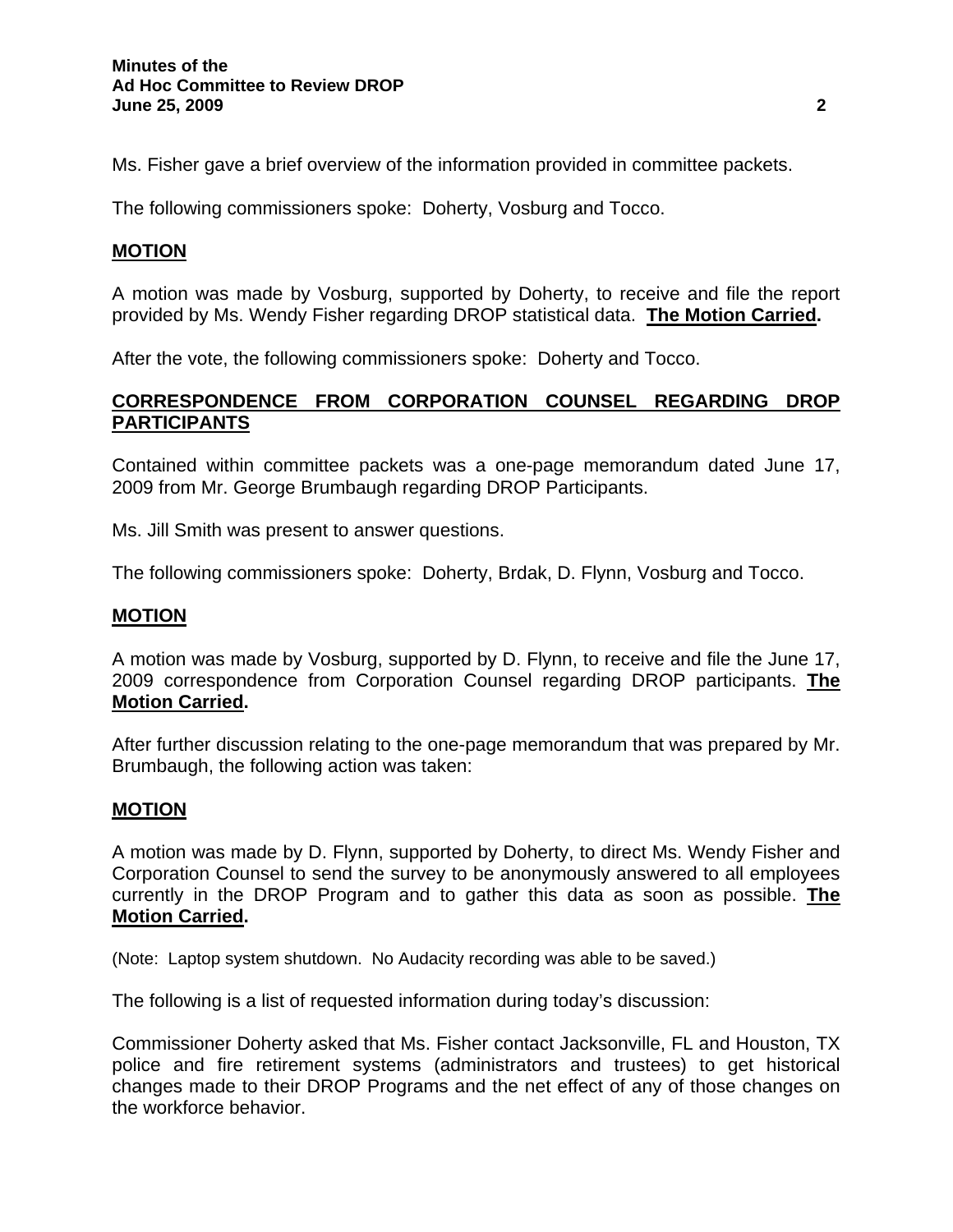Ms. Fisher gave a brief overview of the information provided in committee packets.

The following commissioners spoke: Doherty, Vosburg and Tocco.

## **MOTION**

A motion was made by Vosburg, supported by Doherty, to receive and file the report provided by Ms. Wendy Fisher regarding DROP statistical data. **The Motion Carried.** 

After the vote, the following commissioners spoke: Doherty and Tocco.

## **CORRESPONDENCE FROM CORPORATION COUNSEL REGARDING DROP PARTICIPANTS**

Contained within committee packets was a one-page memorandum dated June 17, 2009 from Mr. George Brumbaugh regarding DROP Participants.

Ms. Jill Smith was present to answer questions.

The following commissioners spoke: Doherty, Brdak, D. Flynn, Vosburg and Tocco.

#### **MOTION**

A motion was made by Vosburg, supported by D. Flynn, to receive and file the June 17, 2009 correspondence from Corporation Counsel regarding DROP participants. **The Motion Carried.** 

After further discussion relating to the one-page memorandum that was prepared by Mr. Brumbaugh, the following action was taken:

#### **MOTION**

A motion was made by D. Flynn, supported by Doherty, to direct Ms. Wendy Fisher and Corporation Counsel to send the survey to be anonymously answered to all employees currently in the DROP Program and to gather this data as soon as possible. **The Motion Carried.** 

(Note: Laptop system shutdown. No Audacity recording was able to be saved.)

The following is a list of requested information during today's discussion:

Commissioner Doherty asked that Ms. Fisher contact Jacksonville, FL and Houston, TX police and fire retirement systems (administrators and trustees) to get historical changes made to their DROP Programs and the net effect of any of those changes on the workforce behavior.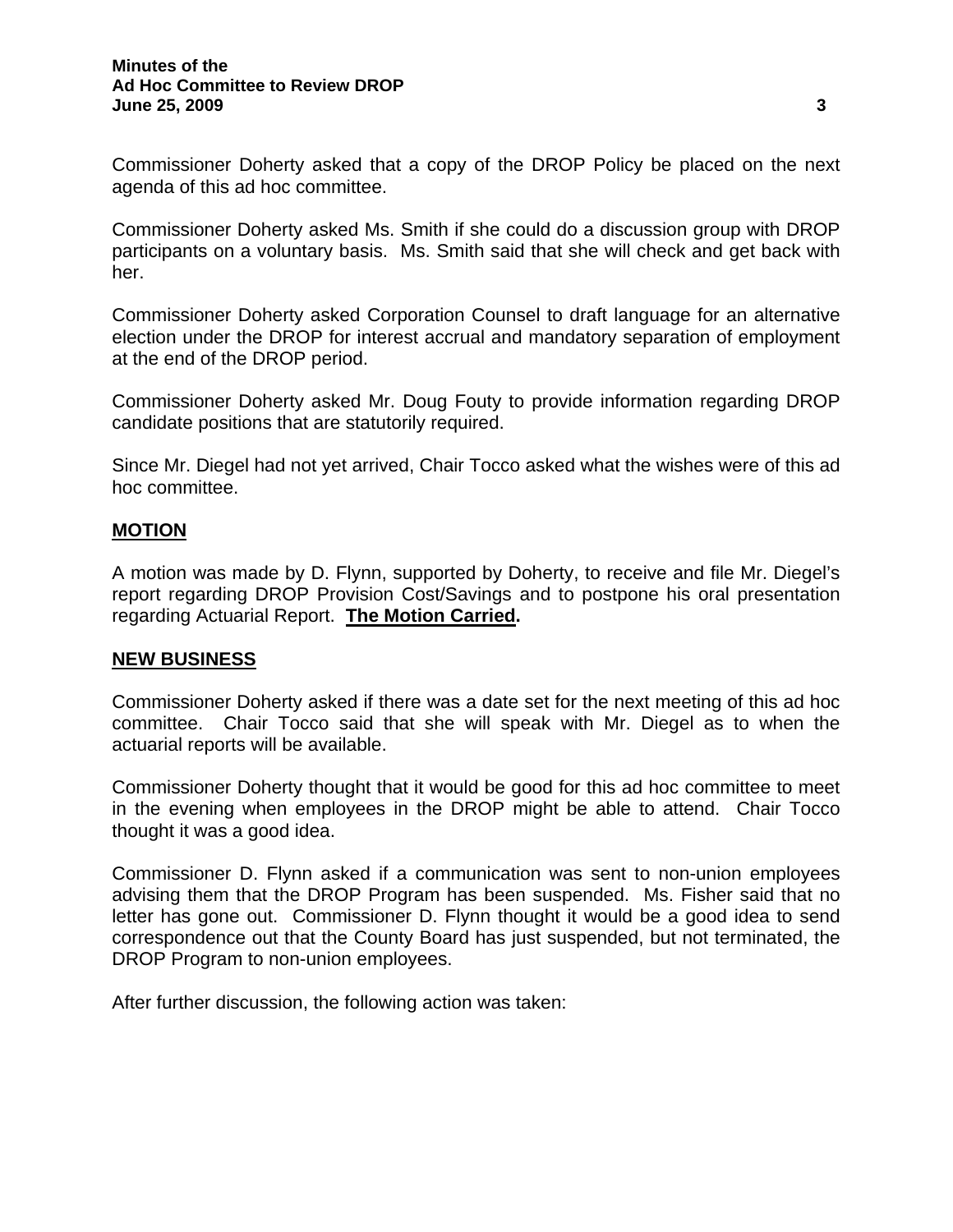Commissioner Doherty asked that a copy of the DROP Policy be placed on the next agenda of this ad hoc committee.

Commissioner Doherty asked Ms. Smith if she could do a discussion group with DROP participants on a voluntary basis. Ms. Smith said that she will check and get back with her.

Commissioner Doherty asked Corporation Counsel to draft language for an alternative election under the DROP for interest accrual and mandatory separation of employment at the end of the DROP period.

Commissioner Doherty asked Mr. Doug Fouty to provide information regarding DROP candidate positions that are statutorily required.

Since Mr. Diegel had not yet arrived, Chair Tocco asked what the wishes were of this ad hoc committee.

## **MOTION**

A motion was made by D. Flynn, supported by Doherty, to receive and file Mr. Diegel's report regarding DROP Provision Cost/Savings and to postpone his oral presentation regarding Actuarial Report. **The Motion Carried.** 

#### **NEW BUSINESS**

Commissioner Doherty asked if there was a date set for the next meeting of this ad hoc committee. Chair Tocco said that she will speak with Mr. Diegel as to when the actuarial reports will be available.

Commissioner Doherty thought that it would be good for this ad hoc committee to meet in the evening when employees in the DROP might be able to attend. Chair Tocco thought it was a good idea.

Commissioner D. Flynn asked if a communication was sent to non-union employees advising them that the DROP Program has been suspended. Ms. Fisher said that no letter has gone out. Commissioner D. Flynn thought it would be a good idea to send correspondence out that the County Board has just suspended, but not terminated, the DROP Program to non-union employees.

After further discussion, the following action was taken: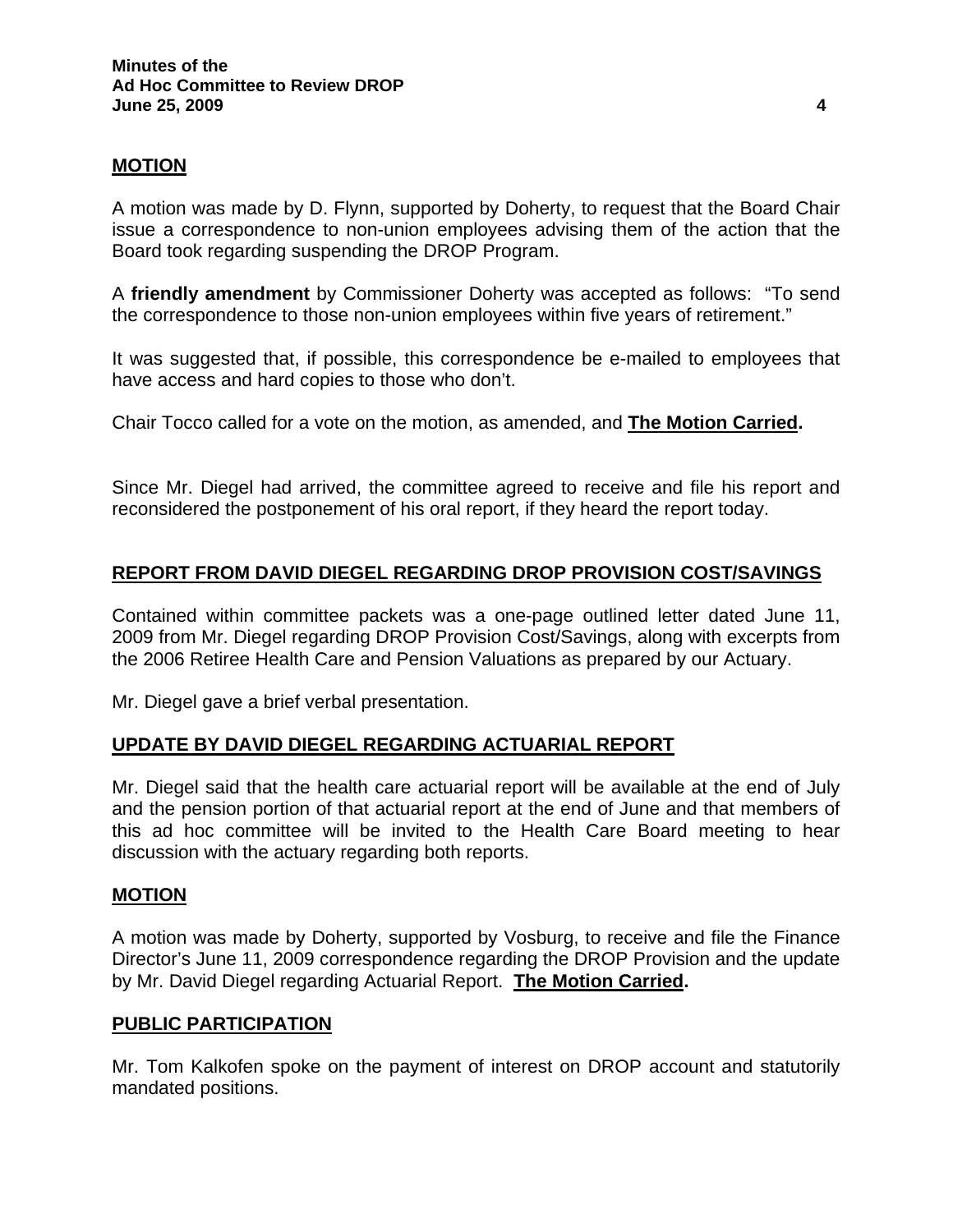## **MOTION**

A motion was made by D. Flynn, supported by Doherty, to request that the Board Chair issue a correspondence to non-union employees advising them of the action that the Board took regarding suspending the DROP Program.

A **friendly amendment** by Commissioner Doherty was accepted as follows: "To send the correspondence to those non-union employees within five years of retirement."

It was suggested that, if possible, this correspondence be e-mailed to employees that have access and hard copies to those who don't.

Chair Tocco called for a vote on the motion, as amended, and **The Motion Carried.** 

Since Mr. Diegel had arrived, the committee agreed to receive and file his report and reconsidered the postponement of his oral report, if they heard the report today.

## **REPORT FROM DAVID DIEGEL REGARDING DROP PROVISION COST/SAVINGS**

Contained within committee packets was a one-page outlined letter dated June 11, 2009 from Mr. Diegel regarding DROP Provision Cost/Savings, along with excerpts from the 2006 Retiree Health Care and Pension Valuations as prepared by our Actuary.

Mr. Diegel gave a brief verbal presentation.

#### **UPDATE BY DAVID DIEGEL REGARDING ACTUARIAL REPORT**

Mr. Diegel said that the health care actuarial report will be available at the end of July and the pension portion of that actuarial report at the end of June and that members of this ad hoc committee will be invited to the Health Care Board meeting to hear discussion with the actuary regarding both reports.

#### **MOTION**

A motion was made by Doherty, supported by Vosburg, to receive and file the Finance Director's June 11, 2009 correspondence regarding the DROP Provision and the update by Mr. David Diegel regarding Actuarial Report. **The Motion Carried.** 

#### **PUBLIC PARTICIPATION**

Mr. Tom Kalkofen spoke on the payment of interest on DROP account and statutorily mandated positions.